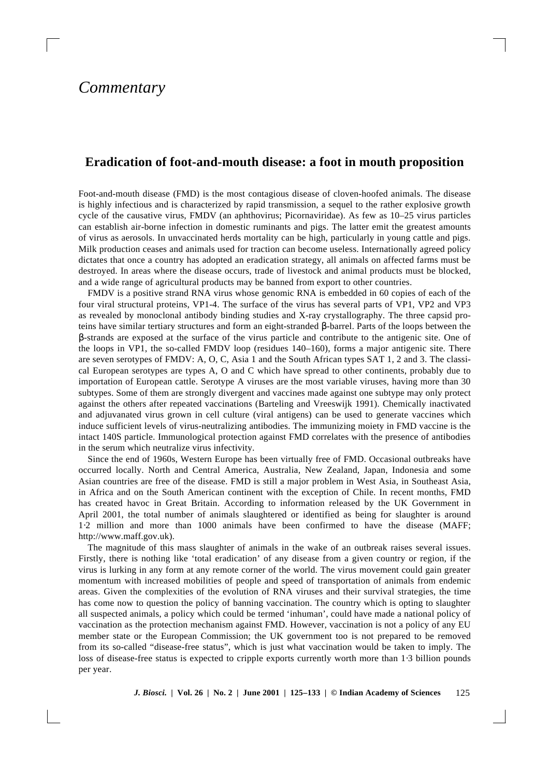## **Eradication of foot-and-mouth disease: a foot in mouth proposition**

Foot-and-mouth disease (FMD) is the most contagious disease of cloven-hoofed animals. The disease is highly infectious and is characterized by rapid transmission, a sequel to the rather explosive growth cycle of the causative virus, FMDV (an aphthovirus; Picornaviridae). As few as 10–25 virus particles can establish air-borne infection in domestic ruminants and pigs. The latter emit the greatest amounts of virus as aerosols. In unvaccinated herds mortality can be high, particularly in young cattle and pigs. Milk production ceases and animals used for traction can become useless. Internationally agreed policy dictates that once a country has adopted an eradication strategy, all animals on affected farms must be destroyed. In areas where the disease occurs, trade of livestock and animal products must be blocked, and a wide range of agricultural products may be banned from export to other countries.

FMDV is a positive strand RNA virus whose genomic RNA is embedded in 60 copies of each of the four viral structural proteins, VP1-4. The surface of the virus has several parts of VP1, VP2 and VP3 as revealed by monoclonal antibody binding studies and X-ray crystallography. The three capsid proteins have similar tertiary structures and form an eight-stranded *b*-barrel. Parts of the loops between the *b*-strands are exposed at the surface of the virus particle and contribute to the antigenic site. One of the loops in VP1, the so-called FMDV loop (residues 140–160), forms a major antigenic site. There are seven serotypes of FMDV: A, O, C, Asia 1 and the South African types SAT 1, 2 and 3. The classical European serotypes are types A, O and C which have spread to other continents, probably due to importation of European cattle. Serotype A viruses are the most variable viruses, having more than 30 subtypes. Some of them are strongly divergent and vaccines made against one subtype may only protect against the others after repeated vaccinations (Barteling and Vreeswijk 1991). Chemically inactivated and adjuvanated virus grown in cell culture (viral antigens) can be used to generate vaccines which induce sufficient levels of virus-neutralizing antibodies. The immunizing moiety in FMD vaccine is the intact 140S particle. Immunological protection against FMD correlates with the presence of antibodies in the serum which neutralize virus infectivity.

Since the end of 1960s, Western Europe has been virtually free of FMD. Occasional outbreaks have occurred locally. North and Central America, Australia, New Zealand, Japan, Indonesia and some Asian countries are free of the disease. FMD is still a major problem in West Asia, in Southeast Asia, in Africa and on the South American continent with the exception of Chile. In recent months, FMD has created havoc in Great Britain. According to information released by the UK Government in April 2001, the total number of animals slaughtered or identified as being for slaughter is around 1⋅2 million and more than 1000 animals have been confirmed to have the disease (MAFF; http://www.maff.gov.uk).

The magnitude of this mass slaughter of animals in the wake of an outbreak raises several issues. Firstly, there is nothing like 'total eradication' of any disease from a given country or region, if the virus is lurking in any form at any remote corner of the world. The virus movement could gain greater momentum with increased mobilities of people and speed of transportation of animals from endemic areas. Given the complexities of the evolution of RNA viruses and their survival strategies, the time has come now to question the policy of banning vaccination. The country which is opting to slaughter all suspected animals, a policy which could be termed 'inhuman', could have made a national policy of vaccination as the protection mechanism against FMD. However, vaccination is not a policy of any EU member state or the European Commission; the UK government too is not prepared to be removed from its so-called "disease-free status", which is just what vaccination would be taken to imply. The loss of disease-free status is expected to cripple exports currently worth more than 1⋅3 billion pounds per year.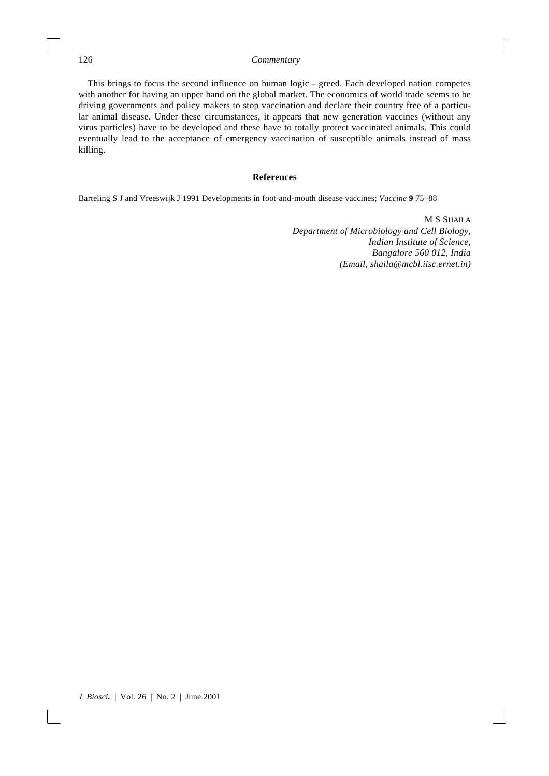This brings to focus the second influence on human logic – greed. Each developed nation competes with another for having an upper hand on the global market. The economics of world trade seems to be driving governments and policy makers to stop vaccination and declare their country free of a particular animal disease. Under these circumstances, it appears that new generation vaccines (without any virus particles) have to be developed and these have to totally protect vaccinated animals. This could eventually lead to the acceptance of emergency vaccination of susceptible animals instead of mass killing.

### **References**

Barteling S J and Vreeswijk J 1991 Developments in foot-and-mouth disease vaccines; *Vaccine* **9** 75–88

M S SHAILA *Department of Microbiology and Cell Biology, Indian Institute of Science, Bangalore 560 012, India (Email, shaila@mcbl.iisc.ernet.in)*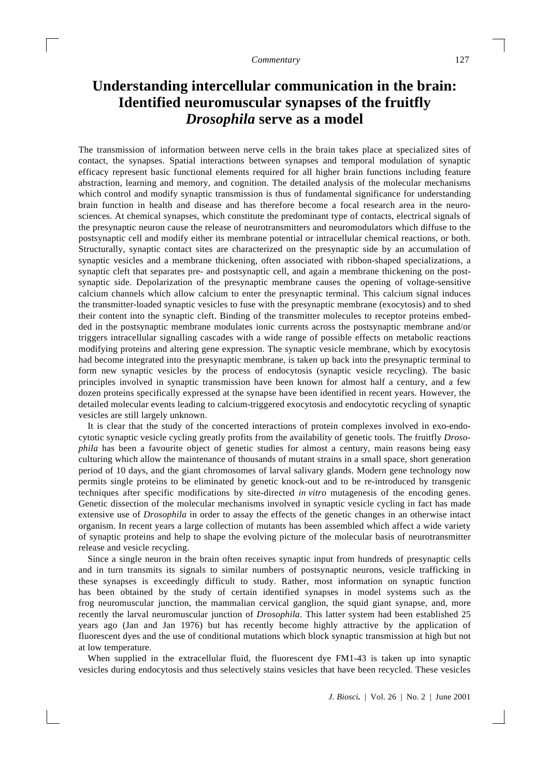# **Understanding intercellular communication in the brain: Identified neuromuscular synapses of the fruitfly**  *Drosophila* **serve as a model**

The transmission of information between nerve cells in the brain takes place at specialized sites of contact, the synapses. Spatial interactions between synapses and temporal modulation of synaptic efficacy represent basic functional elements required for all higher brain functions including feature abstraction, learning and memory, and cognition. The detailed analysis of the molecular mechanisms which control and modify synaptic transmission is thus of fundamental significance for understanding brain function in health and disease and has therefore become a focal research area in the neurosciences. At chemical synapses, which constitute the predominant type of contacts, electrical signals of the presynaptic neuron cause the release of neurotransmitters and neuromodulators which diffuse to the postsynaptic cell and modify either its membrane potential or intracellular chemical reactions, or both. Structurally, synaptic contact sites are characterized on the presynaptic side by an accumulation of synaptic vesicles and a membrane thickening, often associated with ribbon-shaped specializations, a synaptic cleft that separates pre- and postsynaptic cell, and again a membrane thickening on the postsynaptic side. Depolarization of the presynaptic membrane causes the opening of voltage-sensitive calcium channels which allow calcium to enter the presynaptic terminal. This calcium signal induces the transmitter-loaded synaptic vesicles to fuse with the presynaptic membrane (exocytosis) and to shed their content into the synaptic cleft. Binding of the transmitter molecules to receptor proteins embedded in the postsynaptic membrane modulates ionic currents across the postsynaptic membrane and/or triggers intracellular signalling cascades with a wide range of possible effects on metabolic reactions modifying proteins and altering gene expression. The synaptic vesicle membrane, which by exocytosis had become integrated into the presynaptic membrane, is taken up back into the presynaptic terminal to form new synaptic vesicles by the process of endocytosis (synaptic vesicle recycling). The basic principles involved in synaptic transmission have been known for almost half a century, and a few dozen proteins specifically expressed at the synapse have been identified in recent years. However, the detailed molecular events leading to calcium-triggered exocytosis and endocytotic recycling of synaptic vesicles are still largely unknown.

It is clear that the study of the concerted interactions of protein complexes involved in exo-endocytotic synaptic vesicle cycling greatly profits from the availability of genetic tools. The fruitfly *Drosophila* has been a favourite object of genetic studies for almost a century, main reasons being easy culturing which allow the maintenance of thousands of mutant strains in a small space, short generation period of 10 days, and the giant chromosomes of larval salivary glands. Modern gene technology now permits single proteins to be eliminated by genetic knock-out and to be re-introduced by transgenic techniques after specific modifications by site-directed *in vitro* mutagenesis of the encoding genes. Genetic dissection of the molecular mechanisms involved in synaptic vesicle cycling in fact has made extensive use of *Drosophila* in order to assay the effects of the genetic changes in an otherwise intact organism. In recent years a large collection of mutants has been assembled which affect a wide variety of synaptic proteins and help to shape the evolving picture of the molecular basis of neurotransmitter release and vesicle recycling.

Since a single neuron in the brain often receives synaptic input from hundreds of presynaptic cells and in turn transmits its signals to similar numbers of postsynaptic neurons, vesicle trafficking in these synapses is exceedingly difficult to study. Rather, most information on synaptic function has been obtained by the study of certain identified synapses in model systems such as the frog neuromuscular junction, the mammalian cervical ganglion, the squid giant synapse, and, more recently the larval neuromuscular junction of *Drosophila*. This latter system had been established 25 years ago (Jan and Jan 1976) but has recently become highly attractive by the application of fluorescent dyes and the use of conditional mutations which block synaptic transmission at high but not at low temperature.

When supplied in the extracellular fluid, the fluorescent dye FM1-43 is taken up into synaptic vesicles during endocytosis and thus selectively stains vesicles that have been recycled. These vesicles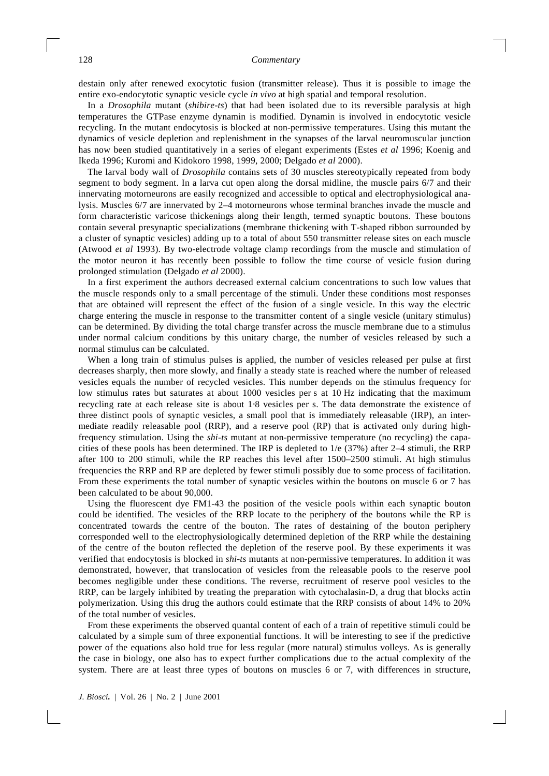destain only after renewed exocytotic fusion (transmitter release). Thus it is possible to image the entire exo-endocytotic synaptic vesicle cycle *in vivo* at high spatial and temporal resolution.

In a *Drosophila* mutant (*shibire-ts*) that had been isolated due to its reversible paralysis at high temperatures the GTPase enzyme dynamin is modified. Dynamin is involved in endocytotic vesicle recycling. In the mutant endocytosis is blocked at non-permissive temperatures. Using this mutant the dynamics of vesicle depletion and replenishment in the synapses of the larval neuromuscular junction has now been studied quantitatively in a series of elegant experiments (Estes *et al* 1996; Koenig and Ikeda 1996; Kuromi and Kidokoro 1998, 1999, 2000; Delgado *et al* 2000).

The larval body wall of *Drosophila* contains sets of 30 muscles stereotypically repeated from body segment to body segment. In a larva cut open along the dorsal midline, the muscle pairs 6/7 and their innervating motorneurons are easily recognized and accessible to optical and electrophysiological analysis. Muscles 6/7 are innervated by 2–4 motorneurons whose terminal branches invade the muscle and form characteristic varicose thickenings along their length, termed synaptic boutons. These boutons contain several presynaptic specializations (membrane thickening with T-shaped ribbon surrounded by a cluster of synaptic vesicles) adding up to a total of about 550 transmitter release sites on each muscle (Atwood *et al* 1993). By two-electrode voltage clamp recordings from the muscle and stimulation of the motor neuron it has recently been possible to follow the time course of vesicle fusion during prolonged stimulation (Delgado *et al* 2000).

In a first experiment the authors decreased external calcium concentrations to such low values that the muscle responds only to a small percentage of the stimuli. Under these conditions most responses that are obtained will represent the effect of the fusion of a single vesicle. In this way the electric charge entering the muscle in response to the transmitter content of a single vesicle (unitary stimulus) can be determined. By dividing the total charge transfer across the muscle membrane due to a stimulus under normal calcium conditions by this unitary charge, the number of vesicles released by such a normal stimulus can be calculated.

When a long train of stimulus pulses is applied, the number of vesicles released per pulse at first decreases sharply, then more slowly, and finally a steady state is reached where the number of released vesicles equals the number of recycled vesicles. This number depends on the stimulus frequency for low stimulus rates but saturates at about 1000 vesicles per s at 10 Hz indicating that the maximum recycling rate at each release site is about 1⋅8 vesicles per s. The data demonstrate the existence of three distinct pools of synaptic vesicles, a small pool that is immediately releasable (IRP), an intermediate readily releasable pool (RRP), and a reserve pool (RP) that is activated only during highfrequency stimulation. Using the *shi-ts* mutant at non-permissive temperature (no recycling) the capacities of these pools has been determined. The IRP is depleted to 1/e (37%) after 2–4 stimuli, the RRP after 100 to 200 stimuli, while the RP reaches this level after 1500–2500 stimuli. At high stimulus frequencies the RRP and RP are depleted by fewer stimuli possibly due to some process of facilitation. From these experiments the total number of synaptic vesicles within the boutons on muscle 6 or 7 has been calculated to be about 90,000.

Using the fluorescent dye FM1-43 the position of the vesicle pools within each synaptic bouton could be identified. The vesicles of the RRP locate to the periphery of the boutons while the RP is concentrated towards the centre of the bouton. The rates of destaining of the bouton periphery corresponded well to the electrophysiologically determined depletion of the RRP while the destaining of the centre of the bouton reflected the depletion of the reserve pool. By these experiments it was verified that endocytosis is blocked in *shi-ts* mutants at non-permissive temperatures. In addition it was demonstrated, however, that translocation of vesicles from the releasable pools to the reserve pool becomes negligible under these conditions. The reverse, recruitment of reserve pool vesicles to the RRP, can be largely inhibited by treating the preparation with cytochalasin-D, a drug that blocks actin polymerization. Using this drug the authors could estimate that the RRP consists of about 14% to 20% of the total number of vesicles.

From these experiments the observed quantal content of each of a train of repetitive stimuli could be calculated by a simple sum of three exponential functions. It will be interesting to see if the predictive power of the equations also hold true for less regular (more natural) stimulus volleys. As is generally the case in biology, one also has to expect further complications due to the actual complexity of the system. There are at least three types of boutons on muscles 6 or 7, with differences in structure,

*J. Biosci.* | Vol. 26 | No. 2 | June 2001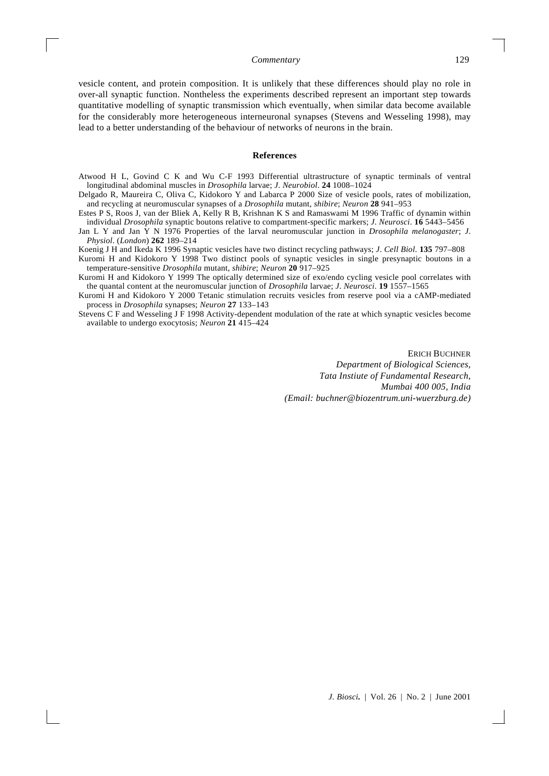vesicle content, and protein composition. It is unlikely that these differences should play no role in over-all synaptic function. Nontheless the experiments described represent an important step towards quantitative modelling of synaptic transmission which eventually, when similar data become available for the considerably more heterogeneous interneuronal synapses (Stevens and Wesseling 1998), may lead to a better understanding of the behaviour of networks of neurons in the brain.

#### **References**

- Atwood H L, Govind C K and Wu C-F 1993 Differential ultrastructure of synaptic terminals of ventral longitudinal abdominal muscles in *Drosophila* larvae; *J*. *Neurobiol*. **24** 1008–1024
- Delgado R, Maureira C, Oliva C, Kidokoro Y and Labarca P 2000 Size of vesicle pools, rates of mobilization, and recycling at neuromuscular synapses of a *Drosophila* mutant, *shibire*; *Neuron* **28** 941–953
- Estes P S, Roos J, van der Bliek A, Kelly R B, Krishnan K S and Ramaswami M 1996 Traffic of dynamin within individual *Drosophila* synaptic boutons relative to compartment-specific markers; *J*. *Neurosci*. **16** 5443–5456
- Jan L Y and Jan Y N 1976 Properties of the larval neuromuscular junction in *Drosophila melanogaster*; *J*. *Physiol*. (*London*) **262** 189–214
- Koenig J H and Ikeda K 1996 Synaptic vesicles have two distinct recycling pathways; *J*. *Cell Biol*. **135** 797–808
- Kuromi H and Kidokoro Y 1998 Two distinct pools of synaptic vesicles in single presynaptic boutons in a temperature-sensitive *Drosophila* mutant, *shibire*; *Neuron* **20** 917–925

Kuromi H and Kidokoro Y 1999 The optically determined size of exo/endo cycling vesicle pool correlates with the quantal content at the neuromuscular junction of *Drosophila* larvae; *J*. *Neurosci*. **19** 1557–1565

Kuromi H and Kidokoro Y 2000 Tetanic stimulation recruits vesicles from reserve pool via a cAMP-mediated process in *Drosophila* synapses; *Neuron* **27** 133–143

Stevens C F and Wesseling J F 1998 Activity-dependent modulation of the rate at which synaptic vesicles become available to undergo exocytosis; *Neuron* **21** 415–424

> ERICH BUCHNER *Department of Biological Sciences*, *Tata Instiute of Fundamental Research*, *Mumbai 400 005, India (Email: buchner@biozentrum.uni-wuerzburg.de)*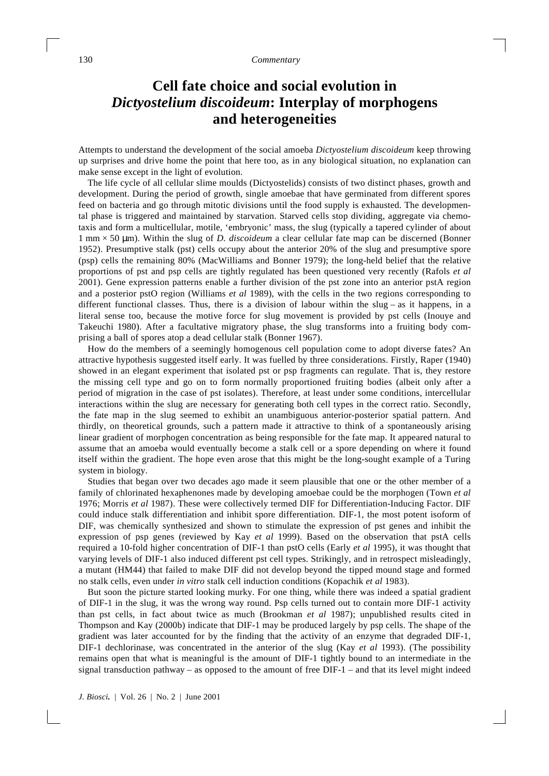# **Cell fate choice and social evolution in**  *Dictyostelium discoideum***: Interplay of morphogens and heterogeneities**

Attempts to understand the development of the social amoeba *Dictyostelium discoideum* keep throwing up surprises and drive home the point that here too, as in any biological situation, no explanation can make sense except in the light of evolution.

The life cycle of all cellular slime moulds (Dictyostelids) consists of two distinct phases, growth and development. During the period of growth, single amoebae that have germinated from different spores feed on bacteria and go through mitotic divisions until the food supply is exhausted. The developmental phase is triggered and maintained by starvation. Starved cells stop dividing, aggregate via chemotaxis and form a multicellular, motile, 'embryonic' mass, the slug (typically a tapered cylinder of about 1 mm × 50 μm). Within the slug of *D. discoideum* a clear cellular fate map can be discerned (Bonner 1952). Presumptive stalk (pst) cells occupy about the anterior 20% of the slug and presumptive spore (psp) cells the remaining 80% (MacWilliams and Bonner 1979); the long-held belief that the relative proportions of pst and psp cells are tightly regulated has been questioned very recently (Rafols *et al* 2001). Gene expression patterns enable a further division of the pst zone into an anterior pstA region and a posterior pstO region (Williams *et al* 1989), with the cells in the two regions corresponding to different functional classes. Thus, there is a division of labour within the slug – as it happens, in a literal sense too, because the motive force for slug movement is provided by pst cells (Inouye and Takeuchi 1980). After a facultative migratory phase, the slug transforms into a fruiting body comprising a ball of spores atop a dead cellular stalk (Bonner 1967).

How do the members of a seemingly homogenous cell population come to adopt diverse fates? An attractive hypothesis suggested itself early. It was fuelled by three considerations. Firstly, Raper (1940) showed in an elegant experiment that isolated pst or psp fragments can regulate. That is, they restore the missing cell type and go on to form normally proportioned fruiting bodies (albeit only after a period of migration in the case of pst isolates). Therefore, at least under some conditions, intercellular interactions within the slug are necessary for generating both cell types in the correct ratio. Secondly, the fate map in the slug seemed to exhibit an unambiguous anterior-posterior spatial pattern. And thirdly, on theoretical grounds, such a pattern made it attractive to think of a spontaneously arising linear gradient of morphogen concentration as being responsible for the fate map. It appeared natural to assume that an amoeba would eventually become a stalk cell or a spore depending on where it found itself within the gradient. The hope even arose that this might be the long-sought example of a Turing system in biology.

Studies that began over two decades ago made it seem plausible that one or the other member of a family of chlorinated hexaphenones made by developing amoebae could be the morphogen (Town *et al*  1976; Morris *et al* 1987). These were collectively termed DIF for Differentiation-Inducing Factor. DIF could induce stalk differentiation and inhibit spore differentiation. DIF-1, the most potent isoform of DIF, was chemically synthesized and shown to stimulate the expression of pst genes and inhibit the expression of psp genes (reviewed by Kay *et al* 1999). Based on the observation that pstA cells required a 10-fold higher concentration of DIF-1 than pstO cells (Early *et al* 1995), it was thought that varying levels of DIF-1 also induced different pst cell types. Strikingly, and in retrospect misleadingly, a mutant (HM44) that failed to make DIF did not develop beyond the tipped mound stage and formed no stalk cells, even under *in vitro* stalk cell induction conditions (Kopachik *et al* 1983).

But soon the picture started looking murky. For one thing, while there was indeed a spatial gradient of DIF-1 in the slug, it was the wrong way round. Psp cells turned out to contain more DIF-1 activity than pst cells, in fact about twice as much (Brookman *et al* 1987); unpublished results cited in Thompson and Kay (2000b) indicate that DIF-1 may be produced largely by psp cells. The shape of the gradient was later accounted for by the finding that the activity of an enzyme that degraded DIF-1, DIF-1 dechlorinase, was concentrated in the anterior of the slug (Kay *et al* 1993). (The possibility remains open that what is meaningful is the amount of DIF-1 tightly bound to an intermediate in the signal transduction pathway – as opposed to the amount of free  $DIF-1$  – and that its level might indeed

*J. Biosci.* | Vol. 26 | No. 2 | June 2001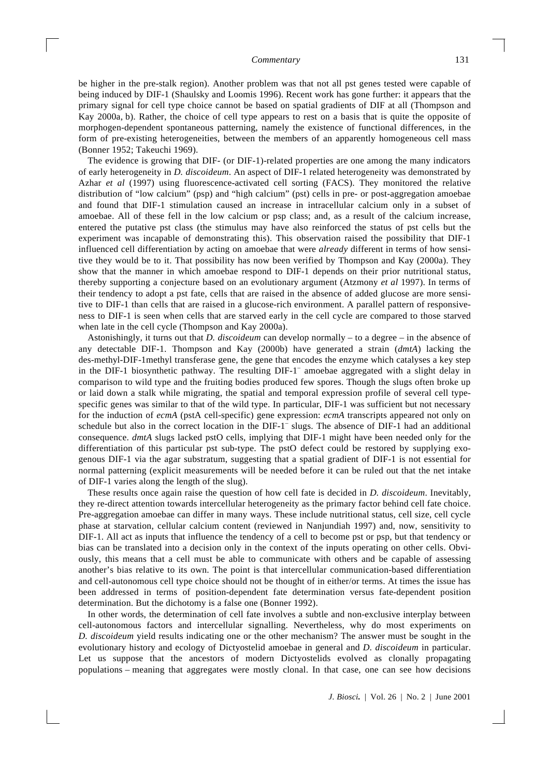be higher in the pre-stalk region). Another problem was that not all pst genes tested were capable of being induced by DIF-1 (Shaulsky and Loomis 1996). Recent work has gone further: it appears that the primary signal for cell type choice cannot be based on spatial gradients of DIF at all (Thompson and Kay 2000a, b). Rather, the choice of cell type appears to rest on a basis that is quite the opposite of morphogen-dependent spontaneous patterning, namely the existence of functional differences, in the form of pre-existing heterogeneities, between the members of an apparently homogeneous cell mass (Bonner 1952; Takeuchi 1969).

The evidence is growing that DIF- (or DIF-1)-related properties are one among the many indicators of early heterogeneity in *D. discoideum*. An aspect of DIF-1 related heterogeneity was demonstrated by Azhar *et al* (1997) using fluorescence-activated cell sorting (FACS). They monitored the relative distribution of "low calcium" (psp) and "high calcium" (pst) cells in pre- or post-aggregation amoebae and found that DIF-1 stimulation caused an increase in intracellular calcium only in a subset of amoebae. All of these fell in the low calcium or psp class; and, as a result of the calcium increase, entered the putative pst class (the stimulus may have also reinforced the status of pst cells but the experiment was incapable of demonstrating this). This observation raised the possibility that DIF-1 influenced cell differentiation by acting on amoebae that were *already* different in terms of how sensitive they would be to it. That possibility has now been verified by Thompson and Kay (2000a). They show that the manner in which amoebae respond to DIF-1 depends on their prior nutritional status, thereby supporting a conjecture based on an evolutionary argument (Atzmony *et al* 1997). In terms of their tendency to adopt a pst fate, cells that are raised in the absence of added glucose are more sensitive to DIF-1 than cells that are raised in a glucose-rich environment. A parallel pattern of responsiveness to DIF-1 is seen when cells that are starved early in the cell cycle are compared to those starved when late in the cell cycle (Thompson and Kay 2000a).

Astonishingly*,* it turns out that *D. discoideum* can develop normally – to a degree – in the absence of any detectable DIF-1. Thompson and Kay (2000b) have generated a strain (*dmtA*) lacking the des-methyl-DIF-1methyl transferase gene, the gene that encodes the enzyme which catalyses a key step in the DIF-1 biosynthetic pathway. The resulting DIF-1<sup>-</sup> amoebae aggregated with a slight delay in comparison to wild type and the fruiting bodies produced few spores. Though the slugs often broke up or laid down a stalk while migrating, the spatial and temporal expression profile of several cell typespecific genes was similar to that of the wild type. In particular, DIF-1 was sufficient but not necessary for the induction of *ecmA* (pstA cell-specific) gene expression: *ecmA* transcripts appeared not only on schedule but also in the correct location in the DIF-1<sup>-</sup> slugs. The absence of DIF-1 had an additional consequence. *dmtA* slugs lacked pstO cells, implying that DIF-1 might have been needed only for the differentiation of this particular pst sub-type. The pstO defect could be restored by supplying exogenous DIF-1 via the agar substratum, suggesting that a spatial gradient of DIF-1 is not essential for normal patterning (explicit measurements will be needed before it can be ruled out that the net intake of DIF-1 varies along the length of the slug).

These results once again raise the question of how cell fate is decided in *D. discoideum*. Inevitably, they re-direct attention towards intercellular heterogeneity as the primary factor behind cell fate choice. Pre-aggregation amoebae can differ in many ways. These include nutritional status, cell size, cell cycle phase at starvation, cellular calcium content (reviewed in Nanjundiah 1997) and, now, sensitivity to DIF-1. All act as inputs that influence the tendency of a cell to become pst or psp, but that tendency or bias can be translated into a decision only in the context of the inputs operating on other cells. Obviously, this means that a cell must be able to communicate with others and be capable of assessing another's bias relative to its own. The point is that intercellular communication-based differentiation and cell-autonomous cell type choice should not be thought of in either/or terms. At times the issue has been addressed in terms of position-dependent fate determination versus fate-dependent position determination. But the dichotomy is a false one (Bonner 1992).

In other words, the determination of cell fate involves a subtle and non-exclusive interplay between cell-autonomous factors and intercellular signalling. Nevertheless, why do most experiments on *D. discoideum* yield results indicating one or the other mechanism? The answer must be sought in the evolutionary history and ecology of Dictyostelid amoebae in general and *D. discoideum* in particular. Let us suppose that the ancestors of modern Dictyostelids evolved as clonally propagating populations – meaning that aggregates were mostly clonal. In that case, one can see how decisions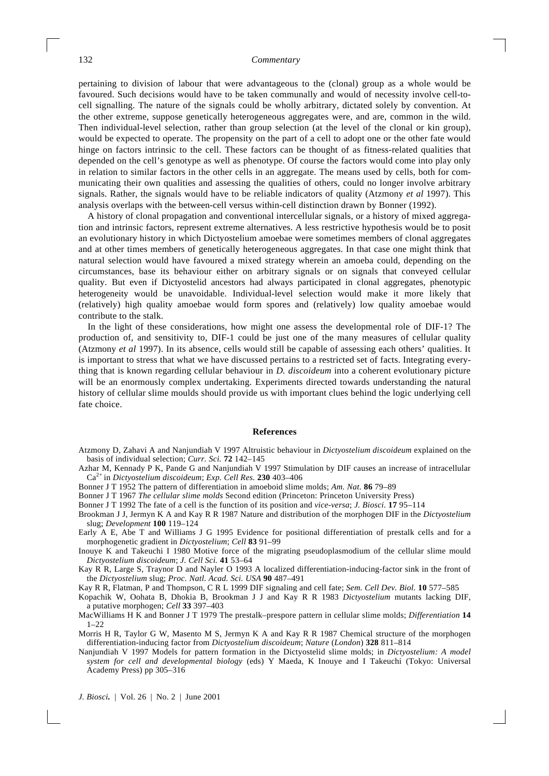pertaining to division of labour that were advantageous to the (clonal) group as a whole would be favoured. Such decisions would have to be taken communally and would of necessity involve cell-tocell signalling. The nature of the signals could be wholly arbitrary, dictated solely by convention. At the other extreme, suppose genetically heterogeneous aggregates were, and are, common in the wild. Then individual-level selection, rather than group selection (at the level of the clonal or kin group), would be expected to operate. The propensity on the part of a cell to adopt one or the other fate would hinge on factors intrinsic to the cell. These factors can be thought of as fitness-related qualities that depended on the cell's genotype as well as phenotype. Of course the factors would come into play only in relation to similar factors in the other cells in an aggregate. The means used by cells, both for communicating their own qualities and assessing the qualities of others, could no longer involve arbitrary signals. Rather, the signals would have to be reliable indicators of quality (Atzmony *et al* 1997). This analysis overlaps with the between-cell versus within-cell distinction drawn by Bonner (1992).

A history of clonal propagation and conventional intercellular signals, or a history of mixed aggregation and intrinsic factors, represent extreme alternatives. A less restrictive hypothesis would be to posit an evolutionary history in which Dictyostelium amoebae were sometimes members of clonal aggregates and at other times members of genetically heterogeneous aggregates. In that case one might think that natural selection would have favoured a mixed strategy wherein an amoeba could, depending on the circumstances, base its behaviour either on arbitrary signals or on signals that conveyed cellular quality. But even if Dictyostelid ancestors had always participated in clonal aggregates, phenotypic heterogeneity would be unavoidable. Individual-level selection would make it more likely that (relatively) high quality amoebae would form spores and (relatively) low quality amoebae would contribute to the stalk.

In the light of these considerations, how might one assess the developmental role of DIF-1? The production of, and sensitivity to, DIF-1 could be just one of the many measures of cellular quality (Atzmony *et al* 1997). In its absence, cells would still be capable of assessing each others' qualities. It is important to stress that what we have discussed pertains to a restricted set of facts. Integrating everything that is known regarding cellular behaviour in *D. discoideum* into a coherent evolutionary picture will be an enormously complex undertaking. Experiments directed towards understanding the natural history of cellular slime moulds should provide us with important clues behind the logic underlying cell fate choice.

#### **References**

- Atzmony D, Zahavi A and Nanjundiah V 1997 Altruistic behaviour in *Dictyostelium discoideum* explained on the basis of individual selection; *Curr. Sci.* **72** 142–145
- Azhar M, Kennady P K, Pande G and Nanjundiah V 1997 Stimulation by DIF causes an increase of intracellular Ca2+ in *Dictyostelium discoideum*; *Exp. Cell Res.* **230** 403–406
- Bonner J T 1952 The pattern of differentiation in amoeboid slime molds; *Am. Nat.* **86** 79–89
- Bonner J T 1967 *The cellular slime molds* Second edition (Princeton: Princeton University Press)
- Bonner J T 1992 The fate of a cell is the function of its position and *vice-versa*; *J. Biosci.* **17** 95–114
- Brookman J J, Jermyn K A and Kay R R 1987 Nature and distribution of the morphogen DIF in the *Dictyostelium* slug; *Development* **100** 119–124
- Early A E, Abe T and Williams J G 1995 Evidence for positional differentiation of prestalk cells and for a morphogenetic gradient in *Dictyostelium*; *Cell* **83** 91–99
- Inouye K and Takeuchi I 1980 Motive force of the migrating pseudoplasmodium of the cellular slime mould *Dictyostelium discoideum*; *J. Cell Sci.* **41** 53–64
- Kay R R, Large S, Traynor D and Nayler O 1993 A localized differentiation-inducing-factor sink in the front of the *Dictyostelium* slug; *Proc. Natl. Acad. Sci. USA* **90** 487–491
- Kay R R, Flatman, P and Thompson, C R L 1999 DIF signaling and cell fate; *Sem. Cell Dev. Biol.* **10** 577–585
- Kopachik W, Oohata B, Dhokia B, Brookman J J and Kay R R 1983 *Dictyostelium* mutants lacking DIF, a putative morphogen; *Cell* **33** 397–403
- MacWilliams H K and Bonner J T 1979 The prestalk–prespore pattern in cellular slime molds; *Differentiation* **14** 1–22
- Morris H R, Taylor G W, Masento M S, Jermyn K A and Kay R R 1987 Chemical structure of the morphogen differentiation-inducing factor from *Dictyostelium discoideum*; *Nature* (*London*) **328** 811–814
- Nanjundiah V 1997 Models for pattern formation in the Dictyostelid slime molds; in *Dictyostelium: A model system for cell and developmental biology* (eds) Y Maeda, K Inouye and I Takeuchi (Tokyo: Universal Academy Press) pp 305–316

*J. Biosci.* | Vol. 26 | No. 2 | June 2001